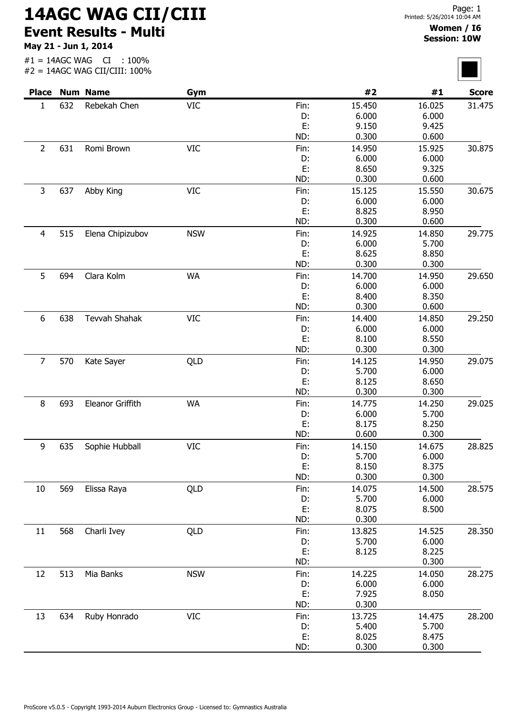## 14AGC WAG CII/CIII Event Results - Multi

May 21 - Jun 1, 2014

## Women / I6 Session: 10W

 $\overline{\phantom{0}}$ 

|                |     | <b>Place Num Name</b> | Gym        |           | #2              | #1              | <b>Score</b> |
|----------------|-----|-----------------------|------------|-----------|-----------------|-----------------|--------------|
| $\mathbf{1}$   | 632 | Rebekah Chen          | <b>VIC</b> | Fin:      | 15.450          | 16.025          | 31.475       |
|                |     |                       |            | D:        | 6.000           | 6.000           |              |
|                |     |                       |            | E:        | 9.150           | 9.425           |              |
|                |     |                       |            | ND:       | 0.300           | 0.600           |              |
| $\overline{2}$ | 631 | Romi Brown            | <b>VIC</b> | Fin:      | 14.950          | 15.925          | 30.875       |
|                |     |                       |            | D:        | 6.000           | 6.000           |              |
|                |     |                       |            | E:        | 8.650           | 9.325           |              |
|                |     |                       |            | ND:       | 0.300           | 0.600           |              |
| $\mathsf{3}$   | 637 | Abby King             | <b>VIC</b> | Fin:      | 15.125          | 15.550          | 30.675       |
|                |     |                       |            | D:        | 6.000           | 6.000           |              |
|                |     |                       |            | E:        | 8.825           | 8.950           |              |
|                |     |                       |            | ND:       | 0.300           | 0.600           |              |
| $\overline{4}$ | 515 | Elena Chipizubov      | <b>NSW</b> | Fin:      | 14.925          | 14.850          | 29.775       |
|                |     |                       |            | D:        | 6.000           | 5.700           |              |
|                |     |                       |            | E:        | 8.625<br>0.300  | 8.850           |              |
|                |     |                       |            | ND:       |                 | 0.300           |              |
| 5              | 694 | Clara Kolm            | <b>WA</b>  | Fin:      | 14.700          | 14.950          | 29.650       |
|                |     |                       |            | D:        | 6.000           | 6.000           |              |
|                |     |                       |            | E:<br>ND: | 8.400<br>0.300  | 8.350<br>0.600  |              |
|                |     |                       |            |           |                 |                 |              |
| 6              | 638 | Tevvah Shahak         | <b>VIC</b> | Fin:      | 14.400          | 14.850<br>6.000 | 29.250       |
|                |     |                       |            | D:<br>E:  | 6.000<br>8.100  | 8.550           |              |
|                |     |                       |            | ND:       | 0.300           | 0.300           |              |
| $\overline{7}$ |     |                       |            |           |                 |                 |              |
|                | 570 | Kate Sayer            | QLD        | Fin:      | 14.125<br>5.700 | 14.950<br>6.000 | 29.075       |
|                |     |                       |            | D:<br>E:  | 8.125           | 8.650           |              |
|                |     |                       |            | ND:       | 0.300           | 0.300           |              |
| 8              | 693 | Eleanor Griffith      | <b>WA</b>  | Fin:      | 14.775          | 14.250          | 29.025       |
|                |     |                       |            | D:        | 6.000           | 5.700           |              |
|                |     |                       |            | E:        | 8.175           | 8.250           |              |
|                |     |                       |            | ND:       | 0.600           | 0.300           |              |
| 9              | 635 | Sophie Hubball        | VIC        | Fin:      | 14.150          | 14.675          | 28.825       |
|                |     |                       |            | D:        | 5.700           | 6.000           |              |
|                |     |                       |            | E:        | 8.150           | 8.375           |              |
|                |     |                       |            | ND:       | 0.300           | 0.300           |              |
| 10             | 569 | Elissa Raya           | QLD        | Fin:      | 14.075          | 14.500          | 28.575       |
|                |     |                       |            | D:        | 5.700           | 6.000           |              |
|                |     |                       |            | E:        | 8.075           | 8.500           |              |
|                |     |                       |            | ND:       | 0.300           |                 |              |
| 11             | 568 | Charli Ivey           | QLD        | Fin:      | 13.825          | 14.525          | 28.350       |
|                |     |                       |            | D:        | 5.700           | 6.000           |              |
|                |     |                       |            | E:        | 8.125           | 8.225           |              |
|                |     |                       |            | ND:       |                 | 0.300           |              |
| 12             | 513 | Mia Banks             | <b>NSW</b> | Fin:      | 14.225          | 14.050          | 28.275       |
|                |     |                       |            | D:        | 6.000           | 6.000           |              |
|                |     |                       |            | E:        | 7.925           | 8.050           |              |
|                |     |                       |            | ND:       | 0.300           |                 |              |
| 13             | 634 | Ruby Honrado          | <b>VIC</b> | Fin:      | 13.725          | 14.475          | 28.200       |
|                |     |                       |            | D:        | 5.400           | 5.700           |              |
|                |     |                       |            | E:        | 8.025           | 8.475           |              |
|                |     |                       |            | ND:       | 0.300           | 0.300           |              |